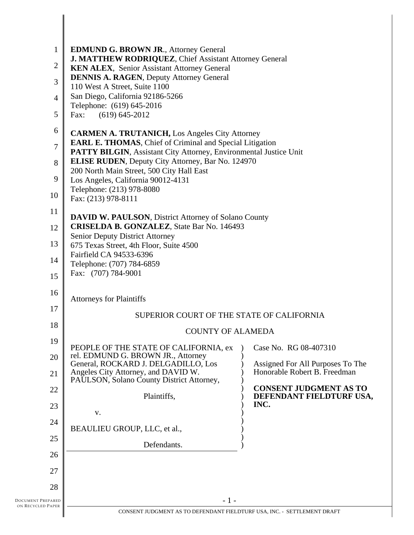| $\mathbf{1}$<br>$\overline{2}$<br>3<br>4<br>5            | <b>EDMUND G. BROWN JR., Attorney General</b><br>J. MATTHEW RODRIQUEZ, Chief Assistant Attorney General<br>KEN ALEX, Senior Assistant Attorney General<br><b>DENNIS A. RAGEN, Deputy Attorney General</b><br>110 West A Street, Suite 1100<br>San Diego, California 92186-5266<br>Telephone: (619) 645-2016<br>$(619) 645 - 2012$<br>Fax:                                                                                                                                                                                                                  |                                                                                                   |
|----------------------------------------------------------|-----------------------------------------------------------------------------------------------------------------------------------------------------------------------------------------------------------------------------------------------------------------------------------------------------------------------------------------------------------------------------------------------------------------------------------------------------------------------------------------------------------------------------------------------------------|---------------------------------------------------------------------------------------------------|
| 6<br>$\overline{7}$<br>8<br>9<br>10<br>11<br>12          | <b>CARMEN A. TRUTANICH, Los Angeles City Attorney</b><br><b>EARL E. THOMAS, Chief of Criminal and Special Litigation</b><br>PATTY BILGIN, Assistant City Attorney, Environmental Justice Unit<br><b>ELISE RUDEN</b> , Deputy City Attorney, Bar No. 124970<br>200 North Main Street, 500 City Hall East<br>Los Angeles, California 90012-4131<br>Telephone: (213) 978-8080<br>Fax: (213) 978-8111<br><b>DAVID W. PAULSON, District Attorney of Solano County</b><br><b>CRISELDA B. GONZALEZ</b> , State Bar No. 146493<br>Senior Deputy District Attorney |                                                                                                   |
| 13<br>14<br>15                                           | 675 Texas Street, 4th Floor, Suite 4500<br>Fairfield CA 94533-6396<br>Telephone: (707) 784-6859<br>Fax: (707) 784-9001                                                                                                                                                                                                                                                                                                                                                                                                                                    |                                                                                                   |
| 16<br>17<br>18<br>19<br>20                               | <b>Attorneys for Plaintiffs</b><br>SUPERIOR COURT OF THE STATE OF CALIFORNIA<br><b>COUNTY OF ALAMEDA</b><br>PEOPLE OF THE STATE OF CALIFORNIA, ex<br>rel. EDMUND G. BROWN JR., Attorney<br>General, ROCKARD J. DELGADILLO, Los                                                                                                                                                                                                                                                                                                                            | Case No. RG 08-407310<br>Assigned For All Purposes To The                                         |
| 21<br>22<br>23<br>24<br>25                               | Angeles City Attorney, and DAVID W.<br>PAULSON, Solano County District Attorney,<br>Plaintiffs,<br>V.<br>BEAULIEU GROUP, LLC, et al.,                                                                                                                                                                                                                                                                                                                                                                                                                     | Honorable Robert B. Freedman<br><b>CONSENT JUDGMENT AS TO</b><br>DEFENDANT FIELDTURF USA,<br>INC. |
| 26<br>27<br>28<br>DOCUMENT PREPARED<br>ON RECYCLED PAPER | Defendants.<br>$-1-$<br>CONSENT JUDGMENT AS TO DEFENDANT FIELDTURF USA, INC. - SETTLEMENT DRAFT                                                                                                                                                                                                                                                                                                                                                                                                                                                           |                                                                                                   |

 $\parallel$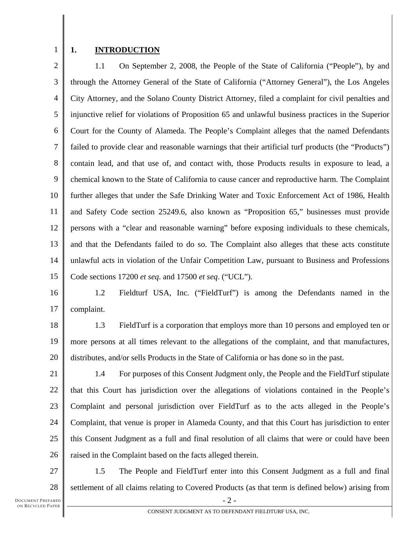1

#### **1. INTRODUCTION**

2 3 4 5 6 7 8 9 10 11 12 13 14 15 1.1 On September 2, 2008, the People of the State of California ("People"), by and through the Attorney General of the State of California ("Attorney General"), the Los Angeles City Attorney, and the Solano County District Attorney, filed a complaint for civil penalties and injunctive relief for violations of Proposition 65 and unlawful business practices in the Superior Court for the County of Alameda. The People's Complaint alleges that the named Defendants failed to provide clear and reasonable warnings that their artificial turf products (the "Products") contain lead, and that use of, and contact with, those Products results in exposure to lead, a chemical known to the State of California to cause cancer and reproductive harm. The Complaint further alleges that under the Safe Drinking Water and Toxic Enforcement Act of 1986, Health and Safety Code section 25249.6, also known as "Proposition 65," businesses must provide persons with a "clear and reasonable warning" before exposing individuals to these chemicals, and that the Defendants failed to do so. The Complaint also alleges that these acts constitute unlawful acts in violation of the Unfair Competition Law, pursuant to Business and Professions Code sections 17200 *et seq*. and 17500 *et seq*. ("UCL").

16 17 1.2 Fieldturf USA, Inc. ("FieldTurf") is among the Defendants named in the complaint.

18 19 20 1.3 FieldTurf is a corporation that employs more than 10 persons and employed ten or more persons at all times relevant to the allegations of the complaint, and that manufactures, distributes, and/or sells Products in the State of California or has done so in the past.

21 22 23 24 25 26 1.4 For purposes of this Consent Judgment only, the People and the FieldTurf stipulate that this Court has jurisdiction over the allegations of violations contained in the People's Complaint and personal jurisdiction over FieldTurf as to the acts alleged in the People's Complaint, that venue is proper in Alameda County, and that this Court has jurisdiction to enter this Consent Judgment as a full and final resolution of all claims that were or could have been raised in the Complaint based on the facts alleged therein.

27 28 1.5 The People and FieldTurf enter into this Consent Judgment as a full and final settlement of all claims relating to Covered Products (as that term is defined below) arising from

 $-2-$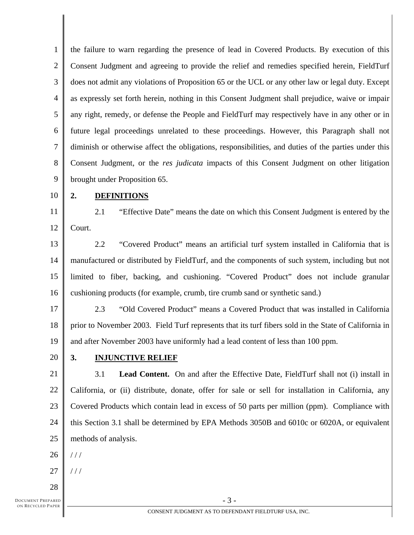1 2 3 4 5 6 7 8 9 the failure to warn regarding the presence of lead in Covered Products. By execution of this Consent Judgment and agreeing to provide the relief and remedies specified herein, FieldTurf does not admit any violations of Proposition 65 or the UCL or any other law or legal duty. Except as expressly set forth herein, nothing in this Consent Judgment shall prejudice, waive or impair any right, remedy, or defense the People and FieldTurf may respectively have in any other or in future legal proceedings unrelated to these proceedings. However, this Paragraph shall not diminish or otherwise affect the obligations, responsibilities, and duties of the parties under this Consent Judgment, or the *res judicata* impacts of this Consent Judgment on other litigation brought under Proposition 65.

10

#### **2. DEFINITIONS**

11 12 2.1 "Effective Date" means the date on which this Consent Judgment is entered by the Court.

13 14 15 16 2.2 "Covered Product" means an artificial turf system installed in California that is manufactured or distributed by FieldTurf, and the components of such system, including but not limited to fiber, backing, and cushioning. "Covered Product" does not include granular cushioning products (for example, crumb, tire crumb sand or synthetic sand.)

17 18 19 2.3 "Old Covered Product" means a Covered Product that was installed in California prior to November 2003. Field Turf represents that its turf fibers sold in the State of California in and after November 2003 have uniformly had a lead content of less than 100 ppm.

20

## **3. INJUNCTIVE RELIEF**

21 22 23 24 25 3.1 **Lead Content.** On and after the Effective Date, FieldTurf shall not (i) install in California, or (ii) distribute, donate, offer for sale or sell for installation in California, any Covered Products which contain lead in excess of 50 parts per million (ppm). Compliance with this Section 3.1 shall be determined by EPA Methods 3050B and 6010c or 6020A, or equivalent methods of analysis.

- 26  $1/1$
- 27  $//$
- 28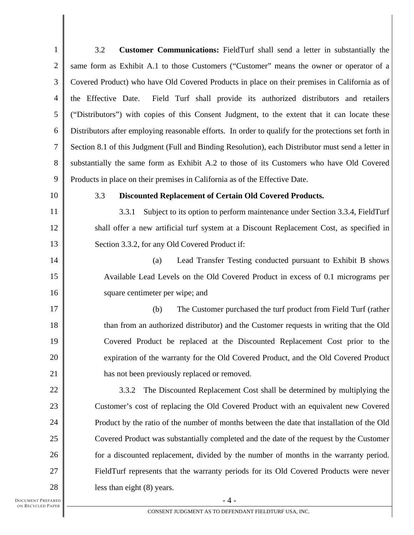| $\mathbf{1}$     | 3.2<br>Customer Communications: FieldTurf shall send a letter in substantially the                    |
|------------------|-------------------------------------------------------------------------------------------------------|
| $\mathbf{2}$     | same form as Exhibit A.1 to those Customers ("Customer" means the owner or operator of a              |
| $\mathfrak{Z}$   | Covered Product) who have Old Covered Products in place on their premises in California as of         |
| $\overline{4}$   | the Effective Date.<br>Field Turf shall provide its authorized distributors and retailers             |
| 5                | ("Distributors") with copies of this Consent Judgment, to the extent that it can locate these         |
| 6                | Distributors after employing reasonable efforts. In order to qualify for the protections set forth in |
| $\boldsymbol{7}$ | Section 8.1 of this Judgment (Full and Binding Resolution), each Distributor must send a letter in    |
| 8                | substantially the same form as Exhibit A.2 to those of its Customers who have Old Covered             |
| 9                | Products in place on their premises in California as of the Effective Date.                           |
| 10               | 3.3<br><b>Discounted Replacement of Certain Old Covered Products.</b>                                 |
| 11               | Subject to its option to perform maintenance under Section 3.3.4, FieldTurf<br>3.3.1                  |
| 12               | shall offer a new artificial turf system at a Discount Replacement Cost, as specified in              |
| 13               | Section 3.3.2, for any Old Covered Product if:                                                        |
| 14               | Lead Transfer Testing conducted pursuant to Exhibit B shows<br>(a)                                    |
| 15               | Available Lead Levels on the Old Covered Product in excess of 0.1 micrograms per                      |
| 16               | square centimeter per wipe; and                                                                       |
| 17               | The Customer purchased the turf product from Field Turf (rather<br>(b)                                |
| 18               | than from an authorized distributor) and the Customer requests in writing that the Old                |
| 19               | Covered Product be replaced at the Discounted Replacement Cost prior to the                           |
| 20               | expiration of the warranty for the Old Covered Product, and the Old Covered Product                   |
| 21               | has not been previously replaced or removed.                                                          |
| 22               | The Discounted Replacement Cost shall be determined by multiplying the<br>3.3.2                       |
| 23               | Customer's cost of replacing the Old Covered Product with an equivalent new Covered                   |
| 24               | Product by the ratio of the number of months between the date that installation of the Old            |
| 25               | Covered Product was substantially completed and the date of the request by the Customer               |
| 26               | for a discounted replacement, divided by the number of months in the warranty period.                 |
| 27               | FieldTurf represents that the warranty periods for its Old Covered Products were never                |
| 28               | less than eight (8) years.                                                                            |
| EPARED           | $-4-$                                                                                                 |

DOCUMENT PREPARED ON RECYCLED PAPER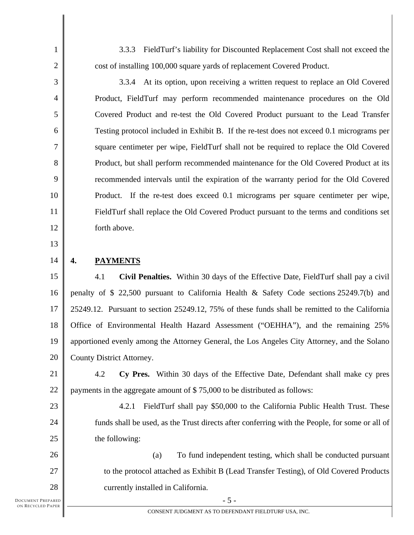3.3.3 FieldTurf's liability for Discounted Replacement Cost shall not exceed the cost of installing 100,000 square yards of replacement Covered Product.

3.3.4 At its option, upon receiving a written request to replace an Old Covered Product, FieldTurf may perform recommended maintenance procedures on the Old Covered Product and re-test the Old Covered Product pursuant to the Lead Transfer Testing protocol included in Exhibit B. If the re-test does not exceed 0.1 micrograms per square centimeter per wipe, FieldTurf shall not be required to replace the Old Covered Product, but shall perform recommended maintenance for the Old Covered Product at its recommended intervals until the expiration of the warranty period for the Old Covered Product. If the re-test does exceed 0.1 micrograms per square centimeter per wipe, FieldTurf shall replace the Old Covered Product pursuant to the terms and conditions set forth above.

13

23

24

25

1

2

3

4

5

6

7

8

9

10

11

12

#### 14 **4. PAYMENTS**

15 16 17 18 19 20 4.1 **Civil Penalties.** Within 30 days of the Effective Date, FieldTurf shall pay a civil penalty of \$ 22,500 pursuant to California Health & Safety Code sections 25249.7(b) and 25249.12. Pursuant to section 25249.12, 75% of these funds shall be remitted to the California Office of Environmental Health Hazard Assessment ("OEHHA"), and the remaining 25% apportioned evenly among the Attorney General, the Los Angeles City Attorney, and the Solano County District Attorney.

21 22 4.2 **Cy Pres.** Within 30 days of the Effective Date, Defendant shall make cy pres payments in the aggregate amount of \$ 75,000 to be distributed as follows:

4.2.1 FieldTurf shall pay \$50,000 to the California Public Health Trust. These funds shall be used, as the Trust directs after conferring with the People, for some or all of the following:

26 27 28 (a) To fund independent testing, which shall be conducted pursuant to the protocol attached as Exhibit B (Lead Transfer Testing), of Old Covered Products currently installed in California.

 $-5 -$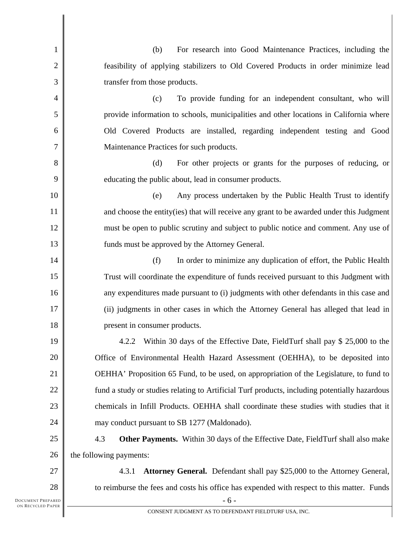| 1              | For research into Good Maintenance Practices, including the<br>(b)                            |
|----------------|-----------------------------------------------------------------------------------------------|
| $\overline{2}$ | feasibility of applying stabilizers to Old Covered Products in order minimize lead            |
| 3              | transfer from those products.                                                                 |
| 4              | To provide funding for an independent consultant, who will<br>(c)                             |
| 5              | provide information to schools, municipalities and other locations in California where        |
| 6              | Old Covered Products are installed, regarding independent testing and Good                    |
| 7              | Maintenance Practices for such products.                                                      |
| $8\,$          | (d)<br>For other projects or grants for the purposes of reducing, or                          |
| 9              | educating the public about, lead in consumer products.                                        |
| 10             | (e)<br>Any process undertaken by the Public Health Trust to identify                          |
| 11             | and choose the entity (ies) that will receive any grant to be awarded under this Judgment     |
| 12             | must be open to public scrutiny and subject to public notice and comment. Any use of          |
| 13             | funds must be approved by the Attorney General.                                               |
| 14             | (f)<br>In order to minimize any duplication of effort, the Public Health                      |
| 15             | Trust will coordinate the expenditure of funds received pursuant to this Judgment with        |
| 16             | any expenditures made pursuant to (i) judgments with other defendants in this case and        |
| 17             | (ii) judgments in other cases in which the Attorney General has alleged that lead in          |
| 18             | present in consumer products.                                                                 |
| 19             | 4.2.2 Within 30 days of the Effective Date, FieldTurf shall pay \$ 25,000 to the              |
| 20             | Office of Environmental Health Hazard Assessment (OEHHA), to be deposited into                |
| 21             | OEHHA' Proposition 65 Fund, to be used, on appropriation of the Legislature, to fund to       |
| 22             | fund a study or studies relating to Artificial Turf products, including potentially hazardous |
| 23             | chemicals in Infill Products. OEHHA shall coordinate these studies with studies that it       |
| 24             | may conduct pursuant to SB 1277 (Maldonado).                                                  |
| 25             | 4.3<br><b>Other Payments.</b> Within 30 days of the Effective Date, FieldTurf shall also make |
| 26             | the following payments:                                                                       |
| 27             | Attorney General. Defendant shall pay \$25,000 to the Attorney General,<br>4.3.1              |
| 28             | to reimburse the fees and costs his office has expended with respect to this matter. Funds    |
| EPARED         | $-6-$                                                                                         |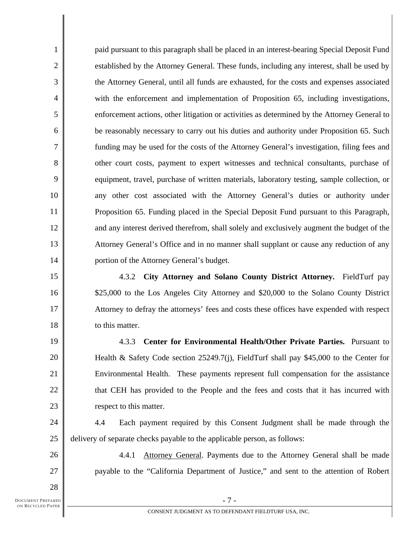paid pursuant to this paragraph shall be placed in an interest-bearing Special Deposit Fund established by the Attorney General. These funds, including any interest, shall be used by the Attorney General, until all funds are exhausted, for the costs and expenses associated with the enforcement and implementation of Proposition 65, including investigations, enforcement actions, other litigation or activities as determined by the Attorney General to be reasonably necessary to carry out his duties and authority under Proposition 65. Such funding may be used for the costs of the Attorney General's investigation, filing fees and other court costs, payment to expert witnesses and technical consultants, purchase of equipment, travel, purchase of written materials, laboratory testing, sample collection, or any other cost associated with the Attorney General's duties or authority under Proposition 65. Funding placed in the Special Deposit Fund pursuant to this Paragraph, and any interest derived therefrom, shall solely and exclusively augment the budget of the Attorney General's Office and in no manner shall supplant or cause any reduction of any portion of the Attorney General's budget.

4.3.2 **City Attorney and Solano County District Attorney.** FieldTurf pay \$25,000 to the Los Angeles City Attorney and \$20,000 to the Solano County District Attorney to defray the attorneys' fees and costs these offices have expended with respect to this matter.

4.3.3 **Center for Environmental Health/Other Private Parties.** Pursuant to Health & Safety Code section 25249.7(j), FieldTurf shall pay \$45,000 to the Center for Environmental Health. These payments represent full compensation for the assistance that CEH has provided to the People and the fees and costs that it has incurred with respect to this matter.

24 25 4.4 Each payment required by this Consent Judgment shall be made through the delivery of separate checks payable to the applicable person, as follows:

4.4.1 Attorney General. Payments due to the Attorney General shall be made payable to the "California Department of Justice," and sent to the attention of Robert

DOCUMENT PREPARED ON RECYCLED PAPER

1

2

3

4

5

6

7

8

9

10

11

12

13

14

15

16

17

18

19

20

21

22

23

26

27

28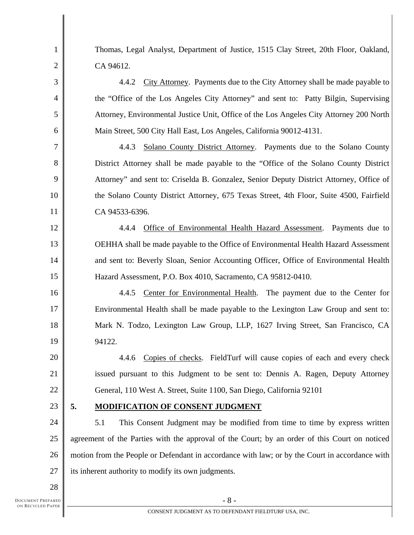1 2 3 4 5 6 7 8 9 10 11 12 13 14 15 16 17 18 19 20 21 22 23 24 25 26 27 28 Thomas, Legal Analyst, Department of Justice, 1515 Clay Street, 20th Floor, Oakland, CA 94612. 4.4.2 City Attorney. Payments due to the City Attorney shall be made payable to the "Office of the Los Angeles City Attorney" and sent to: Patty Bilgin, Supervising Attorney, Environmental Justice Unit, Office of the Los Angeles City Attorney 200 North Main Street, 500 City Hall East, Los Angeles, California 90012-4131. 4.4.3 Solano County District Attorney. Payments due to the Solano County District Attorney shall be made payable to the "Office of the Solano County District Attorney" and sent to: Criselda B. Gonzalez, Senior Deputy District Attorney, Office of the Solano County District Attorney, 675 Texas Street, 4th Floor, Suite 4500, Fairfield CA 94533-6396. 4.4.4 Office of Environmental Health Hazard Assessment. Payments due to OEHHA shall be made payable to the Office of Environmental Health Hazard Assessment and sent to: Beverly Sloan, Senior Accounting Officer, Office of Environmental Health Hazard Assessment, P.O. Box 4010, Sacramento, CA 95812-0410. 4.4.5 Center for Environmental Health. The payment due to the Center for Environmental Health shall be made payable to the Lexington Law Group and sent to: Mark N. Todzo, Lexington Law Group, LLP, 1627 Irving Street, San Francisco, CA 94122. 4.4.6 Copies of checks. FieldTurf will cause copies of each and every check issued pursuant to this Judgment to be sent to: Dennis A. Ragen, Deputy Attorney General, 110 West A. Street, Suite 1100, San Diego, California 92101 **5. MODIFICATION OF CONSENT JUDGMENT** 5.1 This Consent Judgment may be modified from time to time by express written agreement of the Parties with the approval of the Court; by an order of this Court on noticed motion from the People or Defendant in accordance with law; or by the Court in accordance with its inherent authority to modify its own judgments.

DOCUMENT PREPARED ON RECYCLED PAPER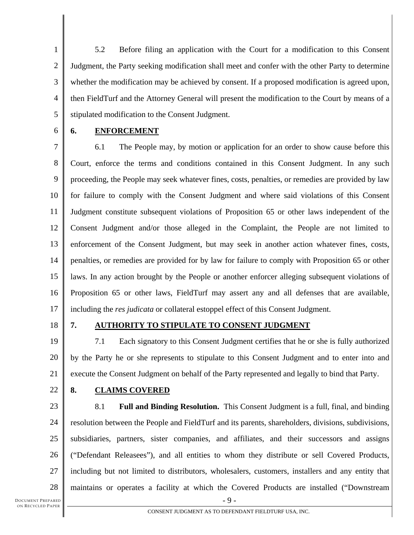1 2 3 4 5 5.2 Before filing an application with the Court for a modification to this Consent Judgment, the Party seeking modification shall meet and confer with the other Party to determine whether the modification may be achieved by consent. If a proposed modification is agreed upon, then FieldTurf and the Attorney General will present the modification to the Court by means of a stipulated modification to the Consent Judgment.

6

## **6. ENFORCEMENT**

7 8 9 10 11 12 13 14 15 16 17 6.1 The People may, by motion or application for an order to show cause before this Court, enforce the terms and conditions contained in this Consent Judgment. In any such proceeding, the People may seek whatever fines, costs, penalties, or remedies are provided by law for failure to comply with the Consent Judgment and where said violations of this Consent Judgment constitute subsequent violations of Proposition 65 or other laws independent of the Consent Judgment and/or those alleged in the Complaint, the People are not limited to enforcement of the Consent Judgment, but may seek in another action whatever fines, costs, penalties, or remedies are provided for by law for failure to comply with Proposition 65 or other laws. In any action brought by the People or another enforcer alleging subsequent violations of Proposition 65 or other laws, FieldTurf may assert any and all defenses that are available, including the *res judicata* or collateral estoppel effect of this Consent Judgment.

18

## **7. AUTHORITY TO STIPULATE TO CONSENT JUDGMENT**

19 20 21 7.1 Each signatory to this Consent Judgment certifies that he or she is fully authorized by the Party he or she represents to stipulate to this Consent Judgment and to enter into and execute the Consent Judgment on behalf of the Party represented and legally to bind that Party.

22

## **8. CLAIMS COVERED**

 $-9-$ 

23 24 25 26 27 28 8.1 **Full and Binding Resolution.** This Consent Judgment is a full, final, and binding resolution between the People and FieldTurf and its parents, shareholders, divisions, subdivisions, subsidiaries, partners, sister companies, and affiliates, and their successors and assigns ("Defendant Releasees"), and all entities to whom they distribute or sell Covered Products, including but not limited to distributors, wholesalers, customers, installers and any entity that maintains or operates a facility at which the Covered Products are installed ("Downstream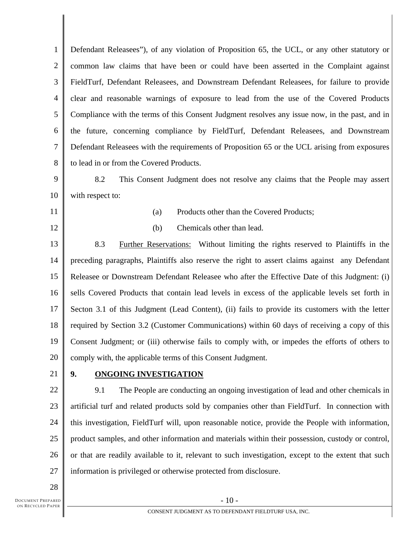1 2 3 4 5 6 7 8 9 10 Defendant Releasees"), of any violation of Proposition 65, the UCL, or any other statutory or common law claims that have been or could have been asserted in the Complaint against FieldTurf, Defendant Releasees, and Downstream Defendant Releasees, for failure to provide clear and reasonable warnings of exposure to lead from the use of the Covered Products Compliance with the terms of this Consent Judgment resolves any issue now, in the past, and in the future, concerning compliance by FieldTurf, Defendant Releasees, and Downstream Defendant Releasees with the requirements of Proposition 65 or the UCL arising from exposures to lead in or from the Covered Products. 8.2 This Consent Judgment does not resolve any claims that the People may assert with respect to:

- 11
- 12

(a) Products other than the Covered Products; (b) Chemicals other than lead.

13 14 15 16 17 18 19 20 8.3 Further Reservations: Without limiting the rights reserved to Plaintiffs in the preceding paragraphs, Plaintiffs also reserve the right to assert claims against any Defendant Releasee or Downstream Defendant Releasee who after the Effective Date of this Judgment: (i) sells Covered Products that contain lead levels in excess of the applicable levels set forth in Secton 3.1 of this Judgment (Lead Content), (ii) fails to provide its customers with the letter required by Section 3.2 (Customer Communications) within 60 days of receiving a copy of this Consent Judgment; or (iii) otherwise fails to comply with, or impedes the efforts of others to comply with, the applicable terms of this Consent Judgment.

21

#### **9. ONGOING INVESTIGATION**

22 23 24 25 26 27 9.1 The People are conducting an ongoing investigation of lead and other chemicals in artificial turf and related products sold by companies other than FieldTurf. In connection with this investigation, FieldTurf will, upon reasonable notice, provide the People with information, product samples, and other information and materials within their possession, custody or control, or that are readily available to it, relevant to such investigation, except to the extent that such information is privileged or otherwise protected from disclosure.

28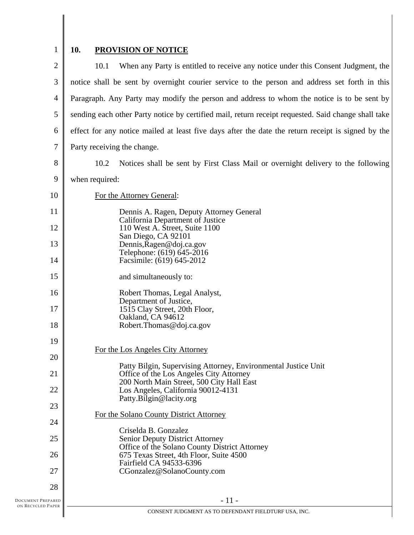# 1

# **10. PROVISION OF NOTICE**

| $\mathbf{2}$            | When any Party is entitled to receive any notice under this Consent Judgment, the<br>10.1           |
|-------------------------|-----------------------------------------------------------------------------------------------------|
| 3                       | notice shall be sent by overnight courier service to the person and address set forth in this       |
| $\overline{4}$          | Paragraph. Any Party may modify the person and address to whom the notice is to be sent by          |
| 5                       | sending each other Party notice by certified mail, return receipt requested. Said change shall take |
| 6                       | effect for any notice mailed at least five days after the date the return receipt is signed by the  |
| $\tau$                  | Party receiving the change.                                                                         |
| 8                       | Notices shall be sent by First Class Mail or overnight delivery to the following<br>10.2            |
| 9                       | when required:                                                                                      |
| 10                      | For the Attorney General:                                                                           |
| 11                      | Dennis A. Ragen, Deputy Attorney General<br>California Department of Justice                        |
| 12                      | 110 West A. Street, Suite 1100<br>San Diego, CA 92101                                               |
| 13                      | Dennis, Ragen@doj.ca.gov<br>Telephone: (619) 645-2016                                               |
| 14                      | Facsimile: (619) 645-2012                                                                           |
| 15                      | and simultaneously to:                                                                              |
| 16                      | Robert Thomas, Legal Analyst,<br>Department of Justice,                                             |
| 17                      | 1515 Clay Street, 20th Floor,<br>Oakland, CA 94612                                                  |
| 18                      | Robert.Thomas@doj.ca.gov                                                                            |
| 19                      | For the Los Angeles City Attorney                                                                   |
| 20                      | Patty Bilgin, Supervising Attorney, Environmental Justice Unit                                      |
| 21                      | Office of the Los Angeles City Attorney<br>200 North Main Street, 500 City Hall East                |
| 22                      | Los Angeles, California 90012-4131<br>Patty.Bilgin@lacity.org                                       |
| 23                      | For the Solano County District Attorney                                                             |
| 24                      | Criselda B. Gonzalez                                                                                |
| 25                      | <b>Senior Deputy District Attorney</b><br>Office of the Solano County District Attorney             |
| 26                      | 675 Texas Street, 4th Floor, Suite 4500<br>Fairfield CA 94533-6396                                  |
| 27                      | CGonzalez@SolanoCounty.com                                                                          |
| 28<br>DOCUMENT PREPARED | $-11-$                                                                                              |
| ON RECYCLED PAPER       |                                                                                                     |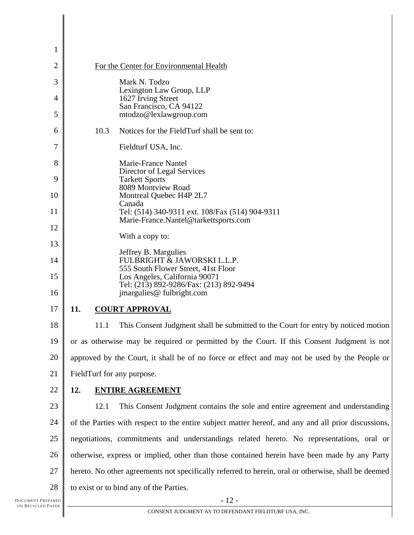| $\mathbf{1}$ |                                                                                                                 |  |
|--------------|-----------------------------------------------------------------------------------------------------------------|--|
| 2            | For the Center for Environmental Health                                                                         |  |
| 3            | Mark N. Todzo                                                                                                   |  |
| 4            | Lexington Law Group, LLP<br>1627 Irving Street                                                                  |  |
| 5            | San Francisco, CA 94122<br>mtodzo@lexlawgroup.com                                                               |  |
| 6            | 10.3<br>Notices for the FieldTurf shall be sent to:                                                             |  |
| 7            | Fieldturf USA, Inc.                                                                                             |  |
| 8            | Marie-France Nantel<br>Director of Legal Services                                                               |  |
| 9            | <b>Tarkett Sports</b>                                                                                           |  |
| 10           | 8089 Montview Road<br>Montreal Quebec H4P 2L7                                                                   |  |
| 11           | Canada<br>Tel: (514) 340-9311 ext. 108/Fax (514) 904-9311                                                       |  |
| 12           | Marie-France.Nantel@tarkettsports.com                                                                           |  |
| 13           | With a copy to:                                                                                                 |  |
| 14           | Jeffrey B. Margulies<br>FULBRIGHT & JAWORSKI L.L.P.                                                             |  |
| 15           | 555 South Flower Street, 41st Floor<br>Los Angeles, California 90071<br>Tel: (213) 892-9286/Fax: (213) 892-9494 |  |
| 16           | jmargulies@ fulbright.com                                                                                       |  |
| 17           | 11.<br><b>COURT APPROVAL</b>                                                                                    |  |
| 18           | 11.1<br>This Consent Judgment shall be submitted to the Court for entry by noticed motion                       |  |
| 19           | or as otherwise may be required or permitted by the Court. If this Consent Judgment is not                      |  |
| 20           | approved by the Court, it shall be of no force or effect and may not be used by the People or                   |  |
| 21           | FieldTurf for any purpose.                                                                                      |  |
| 22           | 12.<br><b>ENTIRE AGREEMENT</b>                                                                                  |  |
| 23           | This Consent Judgment contains the sole and entire agreement and understanding<br>12.1                          |  |
| 24           | of the Parties with respect to the entire subject matter hereof, and any and all prior discussions,             |  |
| 25           | negotiations, commitments and understandings related hereto. No representations, oral or                        |  |
| 26           | otherwise, express or implied, other than those contained herein have been made by any Party                    |  |
| 27           | hereto. No other agreements not specifically referred to herein, oral or otherwise, shall be deemed             |  |
| 28           | to exist or to bind any of the Parties.                                                                         |  |
|              |                                                                                                                 |  |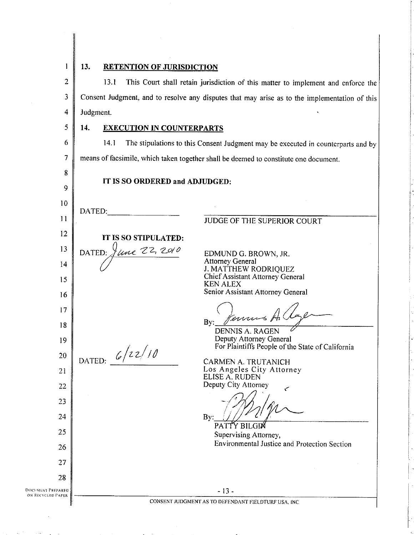$\mathbf{I}$ 

 $\overline{\mathbf{S}}$ 

8

9

 $10<sup>°</sup>$ 

 $\mathbf{H}$ 

 $12$ 

13

 $14$ 

15

16

 $17$ 

 $18$ 

19

20

21

22

23

24

25

26

27

28

DATED:

DATED:

13.

#### **RETENTION OF JURISDICTION**

 $\overline{2}$ 13.1 This Court shall retain jurisdiction of this matter to implement and enforce the 3 Consent Judgment, and to resolve any disputes that may arise as to the implementation of this  $\overline{4}$ Judgment.

#### $14.$ **EXECUTION IN COUNTERPARTS**

6 The stipulations to this Consent Judgment may be executed in counterparts and by  $14.1$  $\overline{7}$ means of facsimile, which taken together shall be deemed to constitute one document.

IT IS SO ORDERED and ADJUDGED:

JUDGE OF THE SUPERIOR COURT IT IS SO STIPULATED: tune 22, 2010 EDMUND G. BROWN, JR. **Attorney General** J. MATTHEW RODRIQUEZ Chief Assistant Attorney General **KEN ALEX** Senior Assistant Attorney General  $\overline{By}$ **DENNIS A. RAGEN** Deputy Attorney General DATED:  $6/22/10$ For Plaintiffs People of the State of California CARMEN A. TRUTANICH Los Angeles City Attorney ELISE A. RUDEN Deputy City Attorney

By:

PATTY BILGIN Supervising Attorney, Environmental Justice and Protection Section

**DOCUMENT PREPARED** ON RECYCLED PAPER

 $-13-$ CONSENT JUDGMENT AS TO DEFENDANT FIELDTURF USA. INC.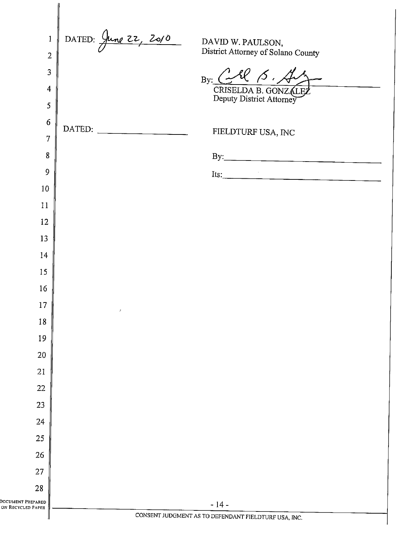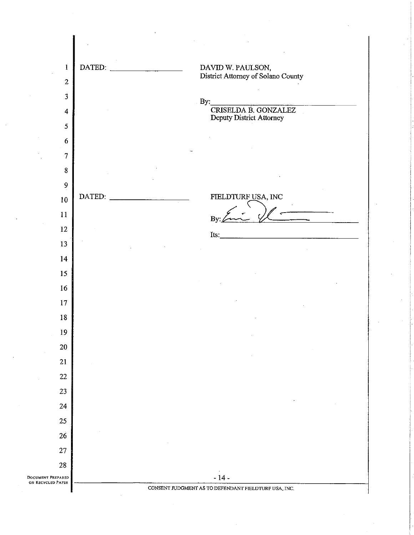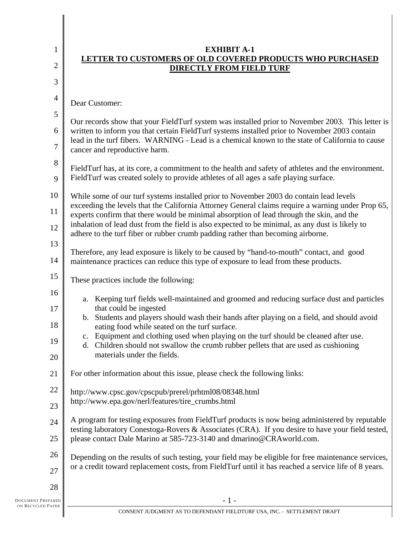| $\mathbf{1}$   | <b>EXHIBIT A-1</b><br>LETTER TO CUSTOMERS OF OLD COVERED PRODUCTS WHO PURCHASED                                                                                                                    |  |
|----------------|----------------------------------------------------------------------------------------------------------------------------------------------------------------------------------------------------|--|
| $\mathfrak{2}$ | <b>DIRECTLY FROM FIELD TURF</b>                                                                                                                                                                    |  |
| 3              |                                                                                                                                                                                                    |  |
| $\overline{4}$ | Dear Customer:                                                                                                                                                                                     |  |
| 5              | Our records show that your FieldTurf system was installed prior to November 2003. This letter is                                                                                                   |  |
| 6              | written to inform you that certain FieldTurf systems installed prior to November 2003 contain                                                                                                      |  |
| $\overline{7}$ | lead in the turf fibers. WARNING - Lead is a chemical known to the state of California to cause<br>cancer and reproductive harm.                                                                   |  |
| 8              | FieldTurf has, at its core, a commitment to the health and safety of athletes and the environment.                                                                                                 |  |
| 9              | FieldTurf was created solely to provide athletes of all ages a safe playing surface.                                                                                                               |  |
| 10             | While some of our turf systems installed prior to November 2003 do contain lead levels<br>exceeding the levels that the California Attorney General claims require a warning under Prop 65,        |  |
| 11             | experts confirm that there would be minimal absorption of lead through the skin, and the                                                                                                           |  |
| 12             | inhalation of lead dust from the field is also expected to be minimal, as any dust is likely to<br>adhere to the turf fiber or rubber crumb padding rather than becoming airborne.                 |  |
| 13             | Therefore, any lead exposure is likely to be caused by "hand-to-mouth" contact, and good                                                                                                           |  |
| 14             | maintenance practices can reduce this type of exposure to lead from these products.                                                                                                                |  |
| 15             | These practices include the following:                                                                                                                                                             |  |
| 16             | Keeping turf fields well-maintained and groomed and reducing surface dust and particles<br>a.                                                                                                      |  |
| 17             | that could be ingested<br>b. Students and players should wash their hands after playing on a field, and should avoid                                                                               |  |
| 18             | eating food while seated on the turf surface.<br>c. Equipment and clothing used when playing on the turf should be cleaned after use.                                                              |  |
| 19             | Children should not swallow the crumb rubber pellets that are used as cushioning<br>d.                                                                                                             |  |
| 20             | materials under the fields.                                                                                                                                                                        |  |
| 21             | For other information about this issue, please check the following links:                                                                                                                          |  |
| 22             | http://www.cpsc.gov/cpscpub/prerel/prhtml08/08348.html                                                                                                                                             |  |
| 23             | http://www.epa.gov/nerl/features/tire_crumbs.html                                                                                                                                                  |  |
| 24             | A program for testing exposures from FieldTurf products is now being administered by reputable<br>testing laboratory Conestoga-Rovers & Associates (CRA). If you desire to have your field tested, |  |
| 25             | please contact Dale Marino at 585-723-3140 and dmarino@CRAworld.com.                                                                                                                               |  |
| 26             | Depending on the results of such testing, your field may be eligible for free maintenance services,                                                                                                |  |
| 27             | or a credit toward replacement costs, from FieldTurf until it has reached a service life of 8 years.                                                                                               |  |
| 28             |                                                                                                                                                                                                    |  |
| PARED          | $-1-$                                                                                                                                                                                              |  |

DOCUMENT PREPARED ON RECYCLED PAPER

 $\blacksquare$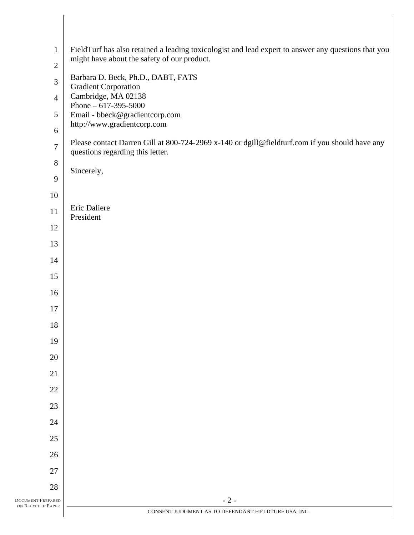| $\mathbf{1}$   | FieldTurf has also retained a leading toxicologist and lead expert to answer any questions that you<br>might have about the safety of our product. |
|----------------|----------------------------------------------------------------------------------------------------------------------------------------------------|
| $\sqrt{2}$     |                                                                                                                                                    |
| $\mathfrak{Z}$ | Barbara D. Beck, Ph.D., DABT, FATS<br><b>Gradient Corporation</b>                                                                                  |
| $\overline{4}$ | Cambridge, MA 02138<br>Phone $-617-395-5000$                                                                                                       |
| $\mathfrak s$  | Email - bbeck@gradientcorp.com                                                                                                                     |
| 6              | http://www.gradientcorp.com                                                                                                                        |
| $\overline{7}$ | Please contact Darren Gill at 800-724-2969 x-140 or dgill@fieldturf.com if you should have any<br>questions regarding this letter.                 |
| $8\,$          | Sincerely,                                                                                                                                         |
| $\overline{9}$ |                                                                                                                                                    |
| 10             |                                                                                                                                                    |
| 11             | Eric Daliere<br>President                                                                                                                          |
| 12             |                                                                                                                                                    |
| 13             |                                                                                                                                                    |
| 14             |                                                                                                                                                    |
| 15             |                                                                                                                                                    |
| 16             |                                                                                                                                                    |
| 17             |                                                                                                                                                    |
| 18             |                                                                                                                                                    |
| 19             |                                                                                                                                                    |
| 20             |                                                                                                                                                    |
| 21             |                                                                                                                                                    |
| 22             |                                                                                                                                                    |
| 23             |                                                                                                                                                    |
| 24             |                                                                                                                                                    |
| 25             |                                                                                                                                                    |
| 26             |                                                                                                                                                    |
| 27             |                                                                                                                                                    |
| 28             |                                                                                                                                                    |
| REPARED        | $-2-$                                                                                                                                              |
| d Paper        | CONSENT JUDGMENT AS TO DEFENDANT FIELDTURF USA, INC.                                                                                               |

DOCUMENT PREPARED ON RECYCLED PAPER

 $\parallel$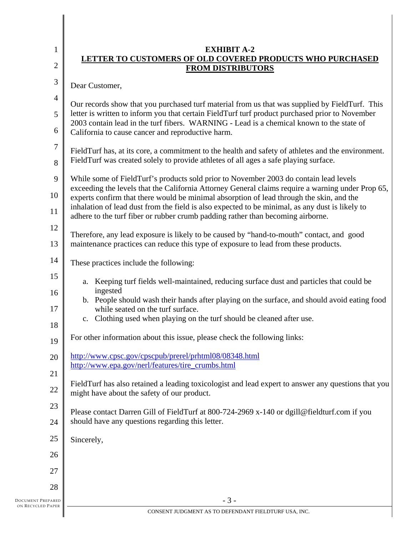| $\mathbf{1}$        | <b>EXHIBIT A-2</b><br>LETTER TO CUSTOMERS OF OLD COVERED PRODUCTS WHO PURCHASED                                                                                                                   |  |
|---------------------|---------------------------------------------------------------------------------------------------------------------------------------------------------------------------------------------------|--|
| $\overline{2}$      | <b>FROM DISTRIBUTORS</b>                                                                                                                                                                          |  |
| 3                   | Dear Customer,                                                                                                                                                                                    |  |
| $\overline{4}$<br>5 | Our records show that you purchased turf material from us that was supplied by FieldTurf. This<br>letter is written to inform you that certain FieldTurf turf product purchased prior to November |  |
| 6                   | 2003 contain lead in the turf fibers. WARNING - Lead is a chemical known to the state of<br>California to cause cancer and reproductive harm.                                                     |  |
| $\tau$<br>8         | FieldTurf has, at its core, a commitment to the health and safety of athletes and the environment.<br>FieldTurf was created solely to provide athletes of all ages a safe playing surface.        |  |
| 9                   | While some of FieldTurf's products sold prior to November 2003 do contain lead levels                                                                                                             |  |
| 10                  | exceeding the levels that the California Attorney General claims require a warning under Prop 65,<br>experts confirm that there would be minimal absorption of lead through the skin, and the     |  |
| 11                  | inhalation of lead dust from the field is also expected to be minimal, as any dust is likely to<br>adhere to the turf fiber or rubber crumb padding rather than becoming airborne.                |  |
| 12                  | Therefore, any lead exposure is likely to be caused by "hand-to-mouth" contact, and good                                                                                                          |  |
| 13                  | maintenance practices can reduce this type of exposure to lead from these products.                                                                                                               |  |
| 14                  | These practices include the following:                                                                                                                                                            |  |
| 15                  | Keeping turf fields well-maintained, reducing surface dust and particles that could be<br>a.                                                                                                      |  |
| 16                  | ingested<br>b. People should wash their hands after playing on the surface, and should avoid eating food                                                                                          |  |
| 17<br>18            | while seated on the turf surface.<br>c. Clothing used when playing on the turf should be cleaned after use.                                                                                       |  |
| 19                  | For other information about this issue, please check the following links:                                                                                                                         |  |
| 20                  | http://www.cpsc.gov/cpscpub/prerel/prhtml08/08348.html                                                                                                                                            |  |
| 21                  | http://www.epa.gov/nerl/features/tire_crumbs.html                                                                                                                                                 |  |
| 22                  | FieldTurf has also retained a leading toxicologist and lead expert to answer any questions that you<br>might have about the safety of our product.                                                |  |
| 23                  | Please contact Darren Gill of FieldTurf at 800-724-2969 x-140 or dgill@fieldturf.com if you                                                                                                       |  |
| 24                  | should have any questions regarding this letter.                                                                                                                                                  |  |
| 25                  | Sincerely,                                                                                                                                                                                        |  |
| 26                  |                                                                                                                                                                                                   |  |
| 27                  |                                                                                                                                                                                                   |  |
| 28                  |                                                                                                                                                                                                   |  |
| PARED<br>PAPER      | $-3-$                                                                                                                                                                                             |  |

I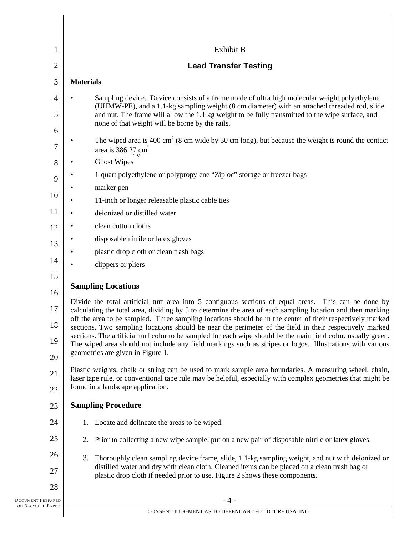| 1              | Exhibit B                                                                                                                                                                                                                                                                                                                              |  |
|----------------|----------------------------------------------------------------------------------------------------------------------------------------------------------------------------------------------------------------------------------------------------------------------------------------------------------------------------------------|--|
| $\overline{2}$ | <b>Lead Transfer Testing</b>                                                                                                                                                                                                                                                                                                           |  |
| 3              | <b>Materials</b>                                                                                                                                                                                                                                                                                                                       |  |
| 4<br>5         | Sampling device. Device consists of a frame made of ultra high molecular weight polyethylene<br>(UHMW-PE), and a 1.1-kg sampling weight (8 cm diameter) with an attached threaded rod, slide<br>and nut. The frame will allow the 1.1 kg weight to be fully transmitted to the wipe surface, and                                       |  |
| 6              | none of that weight will be borne by the rails.                                                                                                                                                                                                                                                                                        |  |
| 7              | The wiped area is 400 cm <sup>2</sup> (8 cm wide by 50 cm long), but because the weight is round the contact<br>area is 386.27 cm <sup>2</sup> .<br>TM                                                                                                                                                                                 |  |
| 8              | <b>Ghost Wipes</b>                                                                                                                                                                                                                                                                                                                     |  |
| 9              | 1-quart polyethylene or polypropylene "Ziploc" storage or freezer bags                                                                                                                                                                                                                                                                 |  |
| 10             | marker pen                                                                                                                                                                                                                                                                                                                             |  |
|                | 11-inch or longer releasable plastic cable ties                                                                                                                                                                                                                                                                                        |  |
| 11             | deionized or distilled water                                                                                                                                                                                                                                                                                                           |  |
| 12             | clean cotton cloths                                                                                                                                                                                                                                                                                                                    |  |
| 13             | disposable nitrile or latex gloves                                                                                                                                                                                                                                                                                                     |  |
| 14             | plastic drop cloth or clean trash bags                                                                                                                                                                                                                                                                                                 |  |
|                | clippers or pliers                                                                                                                                                                                                                                                                                                                     |  |
| 15<br>16       | <b>Sampling Locations</b>                                                                                                                                                                                                                                                                                                              |  |
| 17             | Divide the total artificial turf area into 5 contiguous sections of equal areas. This can be done by<br>calculating the total area, dividing by 5 to determine the area of each sampling location and then marking<br>off the area to be sampled. Three sampling locations should be in the center of their respectively marked        |  |
| 18<br>19       | sections. Two sampling locations should be near the perimeter of the field in their respectively marked<br>sections. The artificial turf color to be sampled for each wipe should be the main field color, usually green.<br>The wiped area should not include any field markings such as stripes or logos. Illustrations with various |  |
| 20             | geometries are given in Figure 1.                                                                                                                                                                                                                                                                                                      |  |
| 21             | Plastic weights, chalk or string can be used to mark sample area boundaries. A measuring wheel, chain,<br>laser tape rule, or conventional tape rule may be helpful, especially with complex geometries that might be                                                                                                                  |  |
| 22             | found in a landscape application.                                                                                                                                                                                                                                                                                                      |  |
| 23             | <b>Sampling Procedure</b>                                                                                                                                                                                                                                                                                                              |  |
| 24             | 1. Locate and delineate the areas to be wiped.                                                                                                                                                                                                                                                                                         |  |
| 25             | Prior to collecting a new wipe sample, put on a new pair of disposable nitrile or latex gloves.<br>2.                                                                                                                                                                                                                                  |  |
| 26<br>27       | Thoroughly clean sampling device frame, slide, 1.1-kg sampling weight, and nut with deionized or<br>3.<br>distilled water and dry with clean cloth. Cleaned items can be placed on a clean trash bag or<br>plastic drop cloth if needed prior to use. Figure 2 shows these components.                                                 |  |
| 28             |                                                                                                                                                                                                                                                                                                                                        |  |
| PARED          | $-4-$                                                                                                                                                                                                                                                                                                                                  |  |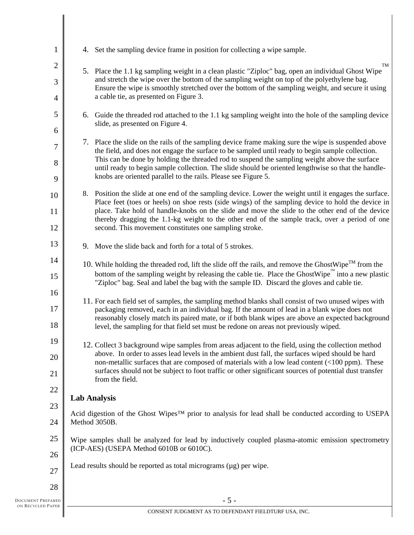| $\mathbf{1}$        | 4. Set the sampling device frame in position for collecting a wipe sample.                                                                                                                                                                 |
|---------------------|--------------------------------------------------------------------------------------------------------------------------------------------------------------------------------------------------------------------------------------------|
| 2                   | TM<br>5. Place the 1.1 kg sampling weight in a clean plastic "Ziploc" bag, open an individual Ghost Wipe                                                                                                                                   |
| 3<br>$\overline{4}$ | and stretch the wipe over the bottom of the sampling weight on top of the polyethylene bag.<br>Ensure the wipe is smoothly stretched over the bottom of the sampling weight, and secure it using<br>a cable tie, as presented on Figure 3. |
|                     |                                                                                                                                                                                                                                            |
| 5<br>6              | 6. Guide the threaded rod attached to the 1.1 kg sampling weight into the hole of the sampling device<br>slide, as presented on Figure 4.                                                                                                  |
| 7                   | 7. Place the slide on the rails of the sampling device frame making sure the wipe is suspended above                                                                                                                                       |
|                     | the field, and does not engage the surface to be sampled until ready to begin sample collection.<br>This can be done by holding the threaded rod to suspend the sampling weight above the surface                                          |
| 8                   | until ready to begin sample collection. The slide should be oriented lengthwise so that the handle-                                                                                                                                        |
| 9                   | knobs are oriented parallel to the rails. Please see Figure 5.                                                                                                                                                                             |
| 10                  | 8. Position the slide at one end of the sampling device. Lower the weight until it engages the surface.                                                                                                                                    |
| 11                  | Place feet (toes or heels) on shoe rests (side wings) of the sampling device to hold the device in<br>place. Take hold of handle-knobs on the slide and move the slide to the other end of the device                                      |
| 12                  | thereby dragging the 1.1-kg weight to the other end of the sample track, over a period of one<br>second. This movement constitutes one sampling stroke.                                                                                    |
| 13                  | 9. Move the slide back and forth for a total of 5 strokes.                                                                                                                                                                                 |
| 14                  | 10. While holding the threaded rod, lift the slide off the rails, and remove the GhostWipe <sup>TM</sup> from the                                                                                                                          |
| 15                  | bottom of the sampling weight by releasing the cable tie. Place the GhostWipe into a new plastic<br>"Ziploc" bag. Seal and label the bag with the sample ID. Discard the gloves and cable tie.                                             |
| 16                  | 11. For each field set of samples, the sampling method blanks shall consist of two unused wipes with                                                                                                                                       |
| 17                  | packaging removed, each in an individual bag. If the amount of lead in a blank wipe does not                                                                                                                                               |
| 18                  | reasonably closely match its paired mate, or if both blank wipes are above an expected background<br>level, the sampling for that field set must be redone on areas not previously wiped.                                                  |
| 19                  | 12. Collect 3 background wipe samples from areas adjacent to the field, using the collection method                                                                                                                                        |
| 20                  | above. In order to asses lead levels in the ambient dust fall, the surfaces wiped should be hard<br>non-metallic surfaces that are composed of materials with a low lead content (<100 ppm). These                                         |
| 21                  | surfaces should not be subject to foot traffic or other significant sources of potential dust transfer<br>from the field.                                                                                                                  |
| 22                  |                                                                                                                                                                                                                                            |
| 23                  | <b>Lab Analysis</b>                                                                                                                                                                                                                        |
| 24                  | Acid digestion of the Ghost Wipes <sup>TM</sup> prior to analysis for lead shall be conducted according to USEPA<br>Method 3050B.                                                                                                          |
| 25                  | Wipe samples shall be analyzed for lead by inductively coupled plasma-atomic emission spectrometry                                                                                                                                         |
| 26                  | (ICP-AES) (USEPA Method 6010B or 6010C).                                                                                                                                                                                                   |
| 27                  | Lead results should be reported as total micrograms $(\mu g)$ per wipe.                                                                                                                                                                    |
| 28                  |                                                                                                                                                                                                                                            |
| EPARED              | $-5-$                                                                                                                                                                                                                                      |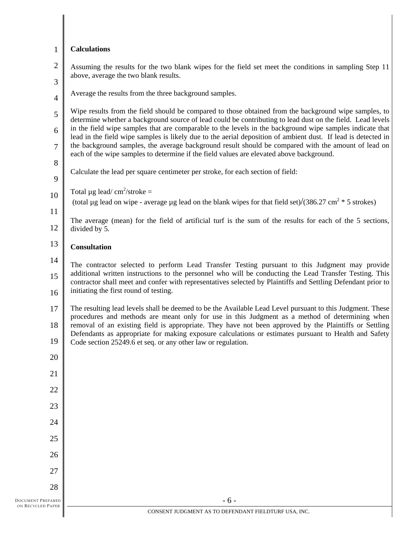| $\mathbf{1}$             | <b>Calculations</b>                                                                                                                                                                                                       |
|--------------------------|---------------------------------------------------------------------------------------------------------------------------------------------------------------------------------------------------------------------------|
| $\mathfrak{2}$           | Assuming the results for the two blank wipes for the field set meet the conditions in sampling Step 11<br>above, average the two blank results.                                                                           |
| 3                        | Average the results from the three background samples.                                                                                                                                                                    |
| $\overline{4}$           |                                                                                                                                                                                                                           |
| 5                        | Wipe results from the field should be compared to those obtained from the background wipe samples, to<br>determine whether a background source of lead could be contributing to lead dust on the field. Lead levels       |
| 6                        | in the field wipe samples that are comparable to the levels in the background wipe samples indicate that<br>lead in the field wipe samples is likely due to the aerial deposition of ambient dust. If lead is detected in |
| 7                        | the background samples, the average background result should be compared with the amount of lead on<br>each of the wipe samples to determine if the field values are elevated above background.                           |
| 8                        | Calculate the lead per square centimeter per stroke, for each section of field:                                                                                                                                           |
| 9                        |                                                                                                                                                                                                                           |
| 10                       | Total $\mu$ g lead/cm <sup>2</sup> /stroke =<br>(total µg lead on wipe - average µg lead on the blank wipes for that field set)/(386.27 cm <sup>2</sup> $*$ 5 strokes)                                                    |
| 11                       |                                                                                                                                                                                                                           |
| 12                       | The average (mean) for the field of artificial turf is the sum of the results for each of the 5 sections,<br>divided by 5.                                                                                                |
| 13                       | <b>Consultation</b>                                                                                                                                                                                                       |
| 14                       | The contractor selected to perform Lead Transfer Testing pursuant to this Judgment may provide                                                                                                                            |
| 15                       | additional written instructions to the personnel who will be conducting the Lead Transfer Testing. This<br>contractor shall meet and confer with representatives selected by Plaintiffs and Settling Defendant prior to   |
| 16                       | initiating the first round of testing.                                                                                                                                                                                    |
| 17                       | The resulting lead levels shall be deemed to be the Available Lead Level pursuant to this Judgment. These<br>procedures and methods are meant only for use in this Judgment as a method of determining when               |
| 18                       | removal of an existing field is appropriate. They have not been approved by the Plaintiffs or Settling                                                                                                                    |
| 19                       | Defendants as appropriate for making exposure calculations or estimates pursuant to Health and Safety<br>Code section 25249.6 et seq. or any other law or regulation.                                                     |
| 20                       |                                                                                                                                                                                                                           |
| 21                       |                                                                                                                                                                                                                           |
| 22                       |                                                                                                                                                                                                                           |
| 23                       |                                                                                                                                                                                                                           |
| 24                       |                                                                                                                                                                                                                           |
| 25                       |                                                                                                                                                                                                                           |
| 26                       |                                                                                                                                                                                                                           |
| 27                       |                                                                                                                                                                                                                           |
| 28                       |                                                                                                                                                                                                                           |
| <b>DOCUMENT PREPARED</b> | $-6-$                                                                                                                                                                                                                     |
| ON RECYCLED PAPER        | CONSENT JUDGMENT AS TO DEFENDANT FIELDTURF USA, INC.                                                                                                                                                                      |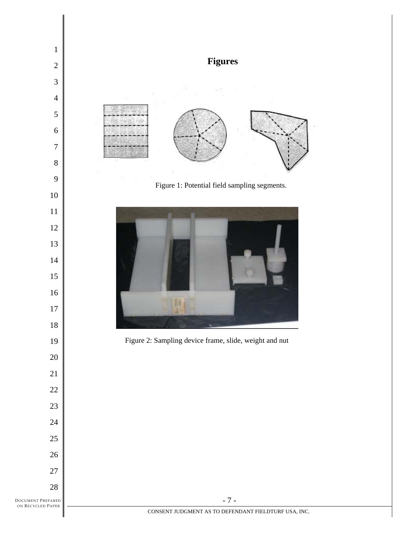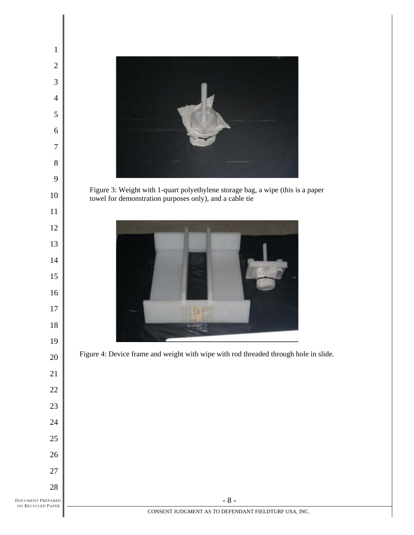